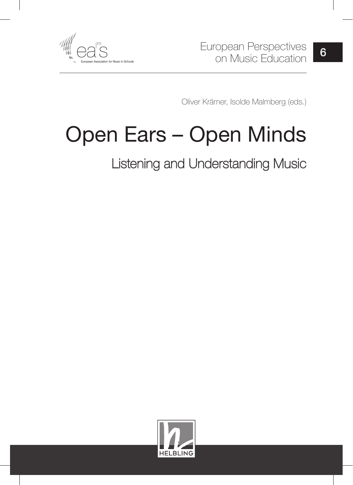

Oliver Krämer, Isolde Malmberg (eds.)

# Open Ears – Open Minds

Listening and Understanding Music

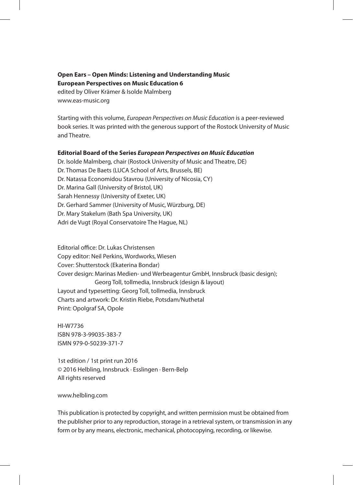#### **Open Ears – Open Minds: Listening and Understanding Music European Perspectives on Music Education 6**

edited by Oliver Krämer & Isolde Malmberg www.eas-music.org

Starting with this volume, *European Perspectives on Music Education* is a peer-reviewed book series. It was printed with the generous support of the Rostock University of Music and Theatre.

#### **Editorial Board of the Series** *European Perspectives on Music Education*

Dr. Isolde Malmberg, chair (Rostock University of Music and Theatre, DE) Dr. Thomas De Baets (LUCA School of Arts, Brussels, BE) Dr. Natassa Economidou Stavrou (University of Nicosia, CY) Dr. Marina Gall (University of Bristol, UK) Sarah Hennessy (University of Exeter, UK) Dr. Gerhard Sammer (University of Music, Würzburg, DE) Dr. Mary Stakelum (Bath Spa University, UK) Adri de Vugt (Royal Conservatoire The Hague, NL)

Editorial office: Dr. Lukas Christensen Copy editor: Neil Perkins, Wordworks, Wiesen Cover: Shutterstock (Ekaterina Bondar) Cover design: Marinas Medien- und Werbeagentur GmbH, Innsbruck (basic design); Georg Toll, tollmedia, Innsbruck (design & layout) Layout and typesetting: Georg Toll, tollmedia, Innsbruck Charts and artwork: Dr. Kristin Riebe, Potsdam/Nuthetal Print: Opolgraf SA, Opole

HI-W7736 ISBN 978-3-99035-383-7 ISMN 979-0-50239-371-7

1st edition / 1st print run 2016 © 2016 Helbling, Innsbruck ∙ Esslingen ∙ Bern-Belp All rights reserved

www.helbling.com

This publication is protected by copyright, and written permission must be obtained from the publisher prior to any reproduction, storage in a retrieval system, or transmission in any form or by any means, electronic, mechanical, photocopying, recording, or likewise.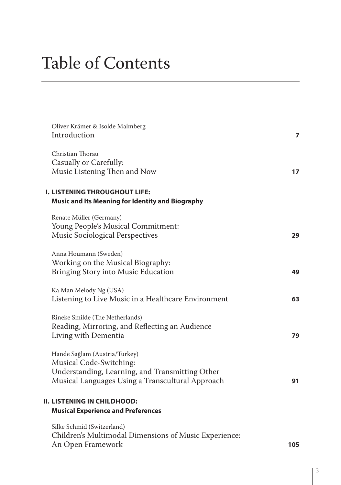## Table of Contents

| Oliver Krämer & Isolde Malmberg<br>Introduction                                                                                                                 | 7  |
|-----------------------------------------------------------------------------------------------------------------------------------------------------------------|----|
| Christian Thorau<br>Casually or Carefully:<br>Music Listening Then and Now                                                                                      | 17 |
| <b>I. LISTENING THROUGHOUT LIFE:</b><br><b>Music and Its Meaning for Identity and Biography</b>                                                                 |    |
| Renate Müller (Germany)<br>Young People's Musical Commitment:<br><b>Music Sociological Perspectives</b>                                                         | 29 |
| Anna Houmann (Sweden)<br>Working on the Musical Biography:<br>Bringing Story into Music Education                                                               | 49 |
| Ka Man Melody Ng (USA)<br>Listening to Live Music in a Healthcare Environment                                                                                   | 63 |
| Rineke Smilde (The Netherlands)<br>Reading, Mirroring, and Reflecting an Audience<br>Living with Dementia                                                       | 79 |
| Hande Sağlam (Austria/Turkey)<br>Musical Code-Switching:<br>Understanding, Learning, and Transmitting Other<br>Musical Languages Using a Transcultural Approach | 91 |
| II. LISTENING IN CHILDHOOD:<br><b>Musical Experience and Preferences</b>                                                                                        |    |
| Silke Schmid (Switzerland)<br>Children's Multimodal Dimensions of Music Experience:                                                                             |    |

An Open Framework **105**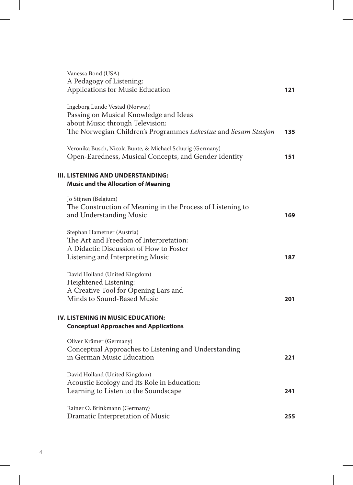| Vanessa Bond (USA)<br>A Pedagogy of Listening:                                                                                                                                |     |
|-------------------------------------------------------------------------------------------------------------------------------------------------------------------------------|-----|
| <b>Applications for Music Education</b>                                                                                                                                       | 121 |
| Ingeborg Lunde Vestad (Norway)<br>Passing on Musical Knowledge and Ideas<br>about Music through Television:<br>The Norwegian Children's Programmes Lekestue and Sesam Stasjon | 135 |
| Veronika Busch, Nicola Bunte, & Michael Schurig (Germany)<br>Open-Earedness, Musical Concepts, and Gender Identity                                                            | 151 |
| III. LISTENING AND UNDERSTANDING:<br><b>Music and the Allocation of Meaning</b>                                                                                               |     |
| Jo Stijnen (Belgium)<br>The Construction of Meaning in the Process of Listening to<br>and Understanding Music                                                                 | 169 |
| Stephan Hametner (Austria)<br>The Art and Freedom of Interpretation:<br>A Didactic Discussion of How to Foster<br>Listening and Interpreting Music                            | 187 |
| David Holland (United Kingdom)<br>Heightened Listening:<br>A Creative Tool for Opening Ears and<br>Minds to Sound-Based Music                                                 | 201 |
| IV. LISTENING IN MUSIC EDUCATION:<br><b>Conceptual Approaches and Applications</b>                                                                                            |     |
| Oliver Krämer (Germany)<br>Conceptual Approaches to Listening and Understanding<br>in German Music Education                                                                  | 221 |
| David Holland (United Kingdom)<br>Acoustic Ecology and Its Role in Education:<br>Learning to Listen to the Soundscape                                                         | 241 |
| Rainer O. Brinkmann (Germany)<br>Dramatic Interpretation of Music                                                                                                             | 255 |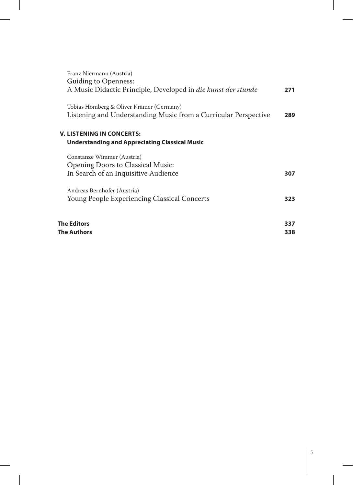| Franz Niermann (Austria)                                             |     |
|----------------------------------------------------------------------|-----|
| <b>Guiding to Openness:</b>                                          |     |
| A Music Didactic Principle, Developed in <i>die kunst der stunde</i> | 271 |
|                                                                      |     |
| Tobias Hömberg & Oliver Krämer (Germany)                             |     |
| Listening and Understanding Music from a Curricular Perspective      | 289 |
|                                                                      |     |
| <b>V. LISTENING IN CONCERTS:</b>                                     |     |
| Understanding and Appreciating Classical Music                       |     |
| Constanze Wimmer (Austria)                                           |     |
| <b>Opening Doors to Classical Music:</b>                             |     |
| In Search of an Inquisitive Audience                                 | 307 |
|                                                                      |     |
| Andreas Bernhofer (Austria)                                          |     |
| Young People Experiencing Classical Concerts                         | 323 |
|                                                                      |     |
| <b>The Editors</b>                                                   | 337 |
| The Authors                                                          | 338 |
|                                                                      |     |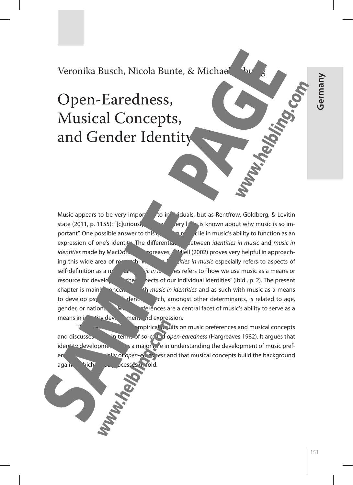151 **Germany** Germany

### Veronika Busch, Nicola Bunte, & Michael

## Open-Earedness, Musical Concepts, and Gender Identity

Music appears to be very important to individuals, but as Rentfrow, Goldberg, & Levitin state (2011, p. 1155): "[c]uriously, where  $\frac{1}{2}$  lifting is known about why music is so important". One possible answer to this  $\mathbf{q}_1$  is in music's ability to function as an expression of one's identity. The differential between *identities in music* and *music in identities* made by MacDonald, Hargreaves, Miell (2002) proves very helpful in approaching this wide area of research. Whenever the *integries in music* especially refers to aspects of self-definition as a music in ite. *ies* refers to "how we use music as a means or resource for developing the sects of our individual identities" (ibid., p. 2). The present chapter is mainly oncerned the *music in identities* and as such with music as a means to develop psychosocial identity in the number of determinants, is related to age, gender, or nationality Music preferences are a central facet of music's ability to serve as a means in identity development and expression.

mpirical results on music preferences and musical concepts and discusses the interms of so-called *open-earedness* (Hargreaves 1982). It argues that  $\frac{1}{2}$  identity development  $\frac{1}{2}$  a major role in understanding the development of music preferences and that musical concepts build the background again. hich su scesses unfold.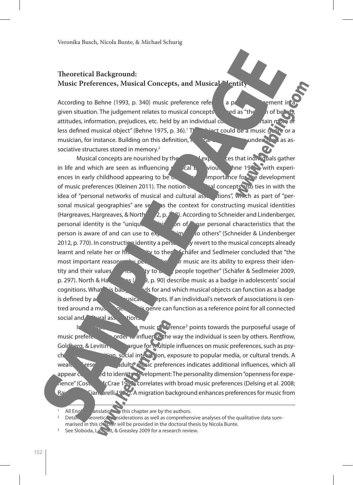#### **Theoretical Background: Music Preferences, Musical Concepts, and Musical Ventity**

According to Behne (1993, p. 340) music preference refers to a present in a present in given situation. The judgement relates to musical concepts defined as "the sum of beliefs, attitudes, information, prejudices, etc. held by an individual concerning a certain more original  $\alpha$ less defined musical object" (Behne 1975, p. 36).<sup>1</sup> The Thiect could be a music genre or a musician, for instance. Building on this definition,  $\hbar$  are underfaced as associative structures stored in memory.<sup>2</sup>

Musical concepts are nourished by the musical experiences that individuals gather in life and which are seen as influencing  $\sqrt{2}$  cal behaviour (Behne 1975), with experiences in early childhood appearing to be  $\alpha$ , particular importance for the development of music preferences (Kleinen 2011). The notion of musical concepts also ties in with the idea of "personal networks of musical and cultural associations", which as part of "personal musical geographies" are seen as the context for constructing musical identities (Hargreaves, Hargreaves, & North  $\sim$  2, p.  $\sim$   $\degree$ ). According to Schneider and Lindenberger, personal identity is the "unique combination of the personal characteristics that the person is aware of and can use to  $e_{\lambda}$ ,  $m$  to others" (Schneider & Lindenberger 2012, p. 770). In construction identity a person may revert to the musical concepts already learnt and relate her or his interior of the schäfer and Sedlmeier concluded that "the most important reasons where the like the intervals are its ability to express their identity and their values and ity to b. people together" (Schäfer & Sedlmeier 2009, p. 297). North & Harge $\frac{1}{2}$  as  $\frac{1}{2}$ , p. 90) describe music as a badge in adolescents' social cognitions. What is badge states for and which musical objects can function as a badge is defined by a person individual's network of associations is centred around a musical general genre can function as a reference point for all connected social and **cultural associations**.

In Fig. 2. The search of the music preference<sup>3</sup> points towards the purposeful usage of music preferences order  $\sqrt{\frac{m}{n}}$  order to influence the way the individual is seen by others. Rentfrow, Goldberg, & Levitin Cargue for multiple influences on music preferences, such as psychological disposition, exposure to popular media, or cultural trends. A wealth of research adults' music preferences indicates additional influences, which all appear  $c_1$  and to identity evelopment: The personality dimension "openness for experience" (Costa & McCrae 1992) correlates with broad music preferences (Delsing et al. 2008; Rawlings **Ciancarelli 1999**. A migration background enhances preferences for music from

All English  $\alpha$  anslations in this chapter are by the authors.

Detailed theoretical considerations as well as comprehensive analyses of the qualitative data summarised in this chapter will be provided in the doctoral thesis by Nicola Bunte.<br>See Sloboda, Lamont, & Greasley 2009 for a research review.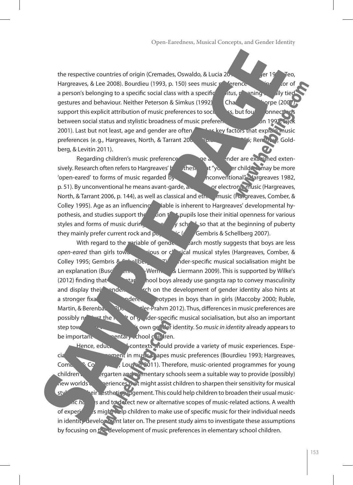the respective countries of origin (Cremades, Oswaldo, & Lucia 2010; Henric 1990; Teo, Hargreaves, & Lee 2008). Bourdieu (1993, p. 150) sees music preference as an indicator of of a person's belonging to a specific social class with a specific *htus*, meaning solid y tied gestures and behaviour. Neither Peterson & Simkus (1992) **Chang Act Montpe (2007**) support this explicit attribution of music preferences to socienties, but found connection between social status and stylistic broadness of music preferences (cf. Peterson 1992; 2001). Last but not least, age and gender are often charge key factors that explain music preferences (e.g., Hargreaves, North, & Tarrant 2006); Rental 2066; Rental Co., Goldberg, & Levitin 2011).

Regarding children's music preference and general ander are examined extensively. Research often refers to Hargreaves' hypothesis that "younger children may be more 'open-eared' to forms of music regarded by a neonventional" (Hargreaves 1982, p. 51). By unconventional he means avant-garde, alleading the electronic music (Hargreaves, North, & Tarrant 2006, p. 144), as well as classical and ethnic music (Hargreaves, Comber, & Colley 1995). Age as an influencing iable is inherent to Hargreaves' developmental hypothesis, and studies support the notion that pupils lose their initial openness for various styles and forms of music during elementary school, so that at the beginning of puberty they mainly prefer current rock and population of Gembris & Schellberg 2007).

With regard to the variable of gender,  $\frac{1}{2}$  arch mostly suggests that boys are less *open-eared* than girls towards since or classical musical styles (Hargreaves, Comber, & Colley 1995; Gembris &  $\sim$  Ilberg 2007). Gener-specific musical socialisation might be an explanation (Busch, Lehmann, Lehmann, 2009). This is supported by Wilke's (2012) finding that  $\frac{1}{2}$  target hool boys already use gangsta rap to convey masculinity and display their gender. Are search on the development of gender identity also hints at a stronger fixation on general stereotypes in boys than in girls (Maccoby 2000; Ruble, Martin, & Berenbaum 2006; Beutler-Prahm 2012). Thus, differences in music preferences are possibly not the result of gender-specific musical socialisation, but also an important step towards and the step towards developing one of  $\alpha$  own general identity. So *music in identity* already appears to be important the nentary school children.

Hence, educational contexts should provide a variety of music experiences. Especially, active engagement in music shapes music preferences (Bourdieu 1993; Hargreaves, Comber,  $\frac{2}{\sqrt{2}}$  Co<sup>lleg</sup>  $\frac{1}{\sqrt{2}}$ , Louven 2011). Therefore, music-oriented programmes for young children at the elementary schools seem a suitable way to provide (possibly) new worlds of experiences that might assist children to sharpen their sensitivity for musical sty<sup>r</sup> eir a sthetic judgement. This could help children to broaden their usual musicspecific *habitus* and to detect new or alternative scopes of music-related actions. A wealth of experidual needs of experiences is might help children to make use of specific music for their individual needs in identity development later on. The present study aims to investigate these assumptions by focusing on the development of music preferences in elementary school children.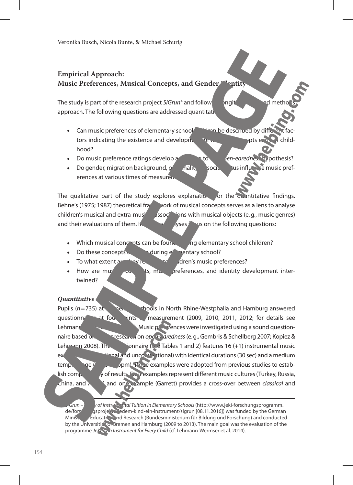#### **Empirical Approach: Music Preferences, Musical Concepts, and Gender Identity**

The study is part of the research project *SIGrun*<sup>4</sup> and follow a longit study is part he lo approach. The following questions are addressed quantitation

- Can music preferences of elementary school children be described by different factors indicating the existence and development of musical concepts early in childhood?
- Do music preference ratings develop according to the *open-earedness* hypothesis?
- Do gender, migration background,  $p'$  and nully social status influence music preferences at various times of measurent

The qualitative part of the study explores explanation for the quantitative findings. Behne's (1975; 1987) theoretical frace work of musical concepts serves as a lens to analyse children's musical and extra-musical associations with musical objects (e.g., music genres) and their evaluations of them. Interview and the following questions:

- Which musical concepts can be found and phase lementary school children?
- Do these concepts  $d$  during elementary school?
- To what extent are they relevant to children's music preferences?
- How are musical concepts, music preferences, and identity development intertwined?

#### *Quantitative Approach*

Pupils  $(n=735)$  at the new shools in North Rhine-Westphalia and Hamburg answered questionn<sup>2</sup> at four points measurement (2009, 2010, 2011, 2012; for details see Lehmann-Wermser et al. 2014). Music preferences were investigated using a sound questionnaire based on earlier research on *open-aredness* (e.g., Gembris & Schellberg 2007; Kopiez & Lehmann 2008). The  $\frac{1}{2}$  innaire (see Tables 1 and 2) features 16 (+1) instrumental music  $ex$ axamples (conventional and unconventional) with identical durations (30 sec) and a medium tempo  $\text{sg}(6)$  being pm). Three examples were adopted from previous studies to establish comparability of results. Four examples represent different music cultures (Turkey, Russia, China, and Africa) and one example (Garrett) provides a cross-over between *classical* and

Grun – Study of Instrumental Tuition in Elementary Schools (http://www.jeki-forschungsprogramm. de/forschungsprojekte/jedem-kind-ein-instrument/sigrun [08.11.2016]) was funded by the German Ministry Education and Research (Bundesministerium für Bildung und Forschung) and conducted by the Universities of Bremen and Hamburg (2009 to 2013). The main goal was the evaluation of the programme *JeKi – An Instrument for Every Child* (cf. Lehmann-Wermser et al. 2014).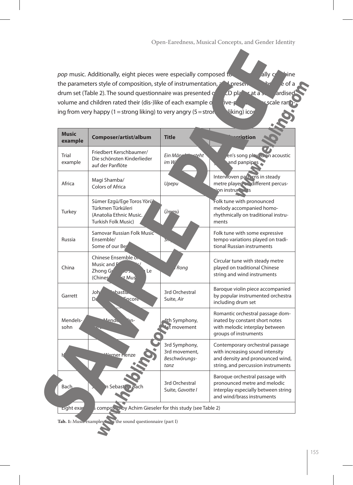*pop* music. Additionally, eight pieces were especially composed to sailly combine the parameters style of composition, style of instrumentation, and presence of a  $\frac{1}{2}$  of a drum set (Table 2). The sound questionnaire was presented  $\frac{c}{c}$   $\frac{c}{c}$  player at a standardise volume and children rated their (dis-)like of each example  $\circ$  a five-point system and smile rangeing from very happy (1 = strong liking) to very angry (5 = strong  $\frac{1}{\sqrt{2}}$  liking) icons.

| <b>Music</b><br>example | Composer/artist/album                                                                                   | <b>Title</b>                                            | <u>rrintion</u>                                                                                                                              |
|-------------------------|---------------------------------------------------------------------------------------------------------|---------------------------------------------------------|----------------------------------------------------------------------------------------------------------------------------------------------|
| Trial<br>example        | Friedbert Kerschbaumer/<br>Die schönsten Kinderlieder<br>auf der Panflöte                               | Ein Män<br>teht <sup>.</sup><br>im W                    | en's song play a on acoustic<br>and panpipes                                                                                                 |
| Africa                  | Magi Shamba/<br>Colors of Africa                                                                        | Upepu                                                   | Interwoven patiens in steady<br>metre player different percus-<br>ion instruments                                                            |
| Turkey                  | Sümer Ezgü/Ege Toros Yörü<br>Türkmen Türküleri<br>(Anatolia Ethnic Music.<br><b>Turkish Folk Music)</b> | Ümmü                                                    | Folk tune with pronounced<br>melody accompanied homo-<br>rhythmically on traditional instru-<br>ments                                        |
| Russia                  | Samovar Russian Folk Music<br>Ensemble/<br>Some of our Ber                                              | ה5                                                      | Folk tune with some expressive<br>tempo variations played on tradi-<br>tional Russian instruments                                            |
| China                   | Chinese Ensemble or<br>Music and F<br>Zhong G<br>Le<br>юō.<br>(Chines<br>st Mus                         | <b>Rong</b>                                             | Circular tune with steady metre<br>played on traditional Chinese<br>string and wind instruments                                              |
| Garrett                 | Joh<br>bastia.<br><b>Encore</b><br>Da                                                                   | 3rd Orchestral<br>Suite, Air                            | Baroque violin piece accompanied<br>by popular instrumented orchestra<br>including drum set                                                  |
| Mendels-<br>sohn        | <u>Aende</u><br>n-                                                                                      | 4th Symphony,<br>$\mathbf{\bar{t}}$ movement            | Romantic orchestral passage dom-<br>inated by constant short notes<br>with melodic interplay between<br>groups of instruments                |
|                         | rner Henze                                                                                              | 3rd Symphony,<br>3rd movement,<br>Beschwörungs-<br>tanz | Contemporary orchestral passage<br>with increasing sound intensity<br>and density and pronounced wind,<br>string, and percussion instruments |
| Bach                    | n Sebast a T-Bach                                                                                       | 3rd Orchestral<br>Suite, Gavotte I                      | Baroque orchestral passage with<br>pronounced metre and melodic<br>interplay especially between string<br>and wind/brass instruments         |
| <b>Eight</b> exar       | s composed by Achim Gieseler for this study (see Table 2)                                               |                                                         |                                                                                                                                              |

Tab. 1: Music examples **from the sound questionnaire (part I)**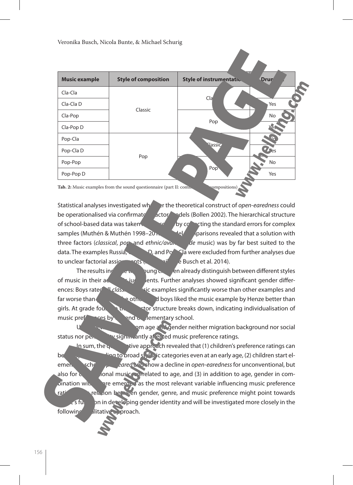| <b>Style of composition</b> | <b>Style of instrumentation</b> | <b>Drun</b>                                     |
|-----------------------------|---------------------------------|-------------------------------------------------|
|                             |                                 |                                                 |
| Classic                     |                                 | Yes                                             |
|                             |                                 | No                                              |
|                             |                                 | Ye.                                             |
|                             |                                 | $\mathcal{L}_{\Omega}$                          |
|                             |                                 | $\mathbf{Z}$ es                                 |
|                             |                                 | No                                              |
|                             |                                 | Yes                                             |
|                             | Pop                             | Cla<br>Pop<br><b>Nassic</b><br>Pop <sup>v</sup> |

Tab. 2: Music examples from the sound questionnaire (part II: commissioned composition

Statistical analyses investigated whether the theoretical construct of *open-earedness* could be operationalised via confirmate discussion of the factor models (Bollen 2002). The hierarchical structure of school-based data was taken into account by correcting the standard errors for complex samples (Muthén & Muthén 1998–2012). May apprisons revealed that a solution with three factors (*classical*, *por* and *ethnic/avanticles de music*) was by far best suited to the data. The examples Russia, Claim D, and Pope-Claim were excluded from further analyses due to unclear factorial assignments ( $\frac{1}{\sqrt{5}}$  details see Busch et al. 2014).

The results in  $\epsilon$  that  $\epsilon$   $\epsilon$   $\epsilon$   $\epsilon$   $\epsilon$  already distinguish between different styles of music in their action in the state  $\frac{1}{2}$  lents. Further analyses showed significant gender differences: Boys rated all *class.* This examples significantly worse than other examples and far worse than girls. On the other hand boys liked the music example by Henze better than girls. At grade four the three-structure breaks down, indicating individualisation of music preferences by the end of elementary school.

am age and gender neither migration background nor social status nor personality significantly at earlied music preference ratings.

In sum, the  $q_{\text{u}}$  tive approach revealed that (1) children's preference ratings can be  $g(x)$  in a to broad stylistic categories even at an early age, (2) children start el**ementary school** *open-earedness* for unconventional, but also for conventional music, correlated to age, and (3) in addition to age, gender in combination with give emerged as the most relevant variable influencing music preference ratings. This relation between gender, genre, and music preference might point towards **s** function in developing gender identity and will be investigated more closely in the following ditative a proach.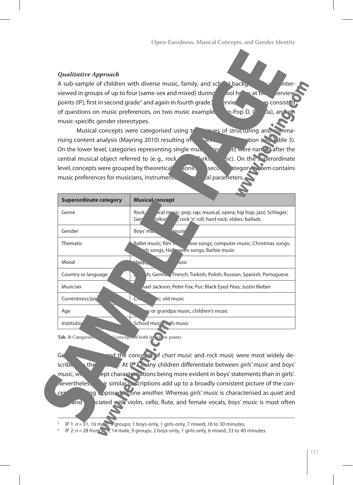#### *Qualitative Approach*

A sub-sample of children with diverse music, family, and school backgrounds was interviewed in groups of up to four (same-sex and mixed) during solid hours at two interview points (IP), first in second grade<sup>s</sup> and again in fourth grade.[ **Interview Guide Guide and Seconsisted** of questions on music preferences, on two music examples (Pop-Pop D, Cla), and music-specific gender stereotypes.

Musical concepts were categorised using the series of structuring and summarising content analysis (Mayring 2010) resulting in two levels of about two levels of abstraction (see Table 3). On the lower level, categories representing single musical concepts were named after the central musical object referred to (e.g., *rock music*, *Turkish music*). On the superordinate level, concepts were grouped by theoretical soning second a second team contains music preferences for musicians, instruments, and musical parameters

| <b>Superordinate category</b> | <b>Musical concept</b>                                                                                                                 |  |  |  |
|-------------------------------|----------------------------------------------------------------------------------------------------------------------------------------|--|--|--|
| Genre                         | ical mosic; pop; rap; musical; opera; hip hop; jazz; Schlager;<br>Rock:<br>rock 'n' roll; hard rock; oldies; ballads<br>/olksn<br>Geri |  |  |  |
| Gender                        | Boys' muss<br>musir                                                                                                                    |  |  |  |
| <b>Thematic</b>               | Ballet music; film n.<br>love songs; computer music; Christmas songs;<br>ch songs; Hall ween songs; Barbie music                       |  |  |  |
| Mood                          | Happy<br><b>usic</b>                                                                                                                   |  |  |  |
| Country or language           | sh; Germa, , French; Turkish; Polish; Russian; Spanish; Portuguese                                                                     |  |  |  |
| Musician                      | nael Jackson; Peter Fox; Pur; Black Eyed Peas; Justin Bieber                                                                           |  |  |  |
| Currentness/po                | lic; old music<br>Cn.                                                                                                                  |  |  |  |
| Age                           | y or grandpa music; children's music                                                                                                   |  |  |  |
| Institutio                    | School music, Ki music                                                                                                                 |  |  |  |

Tab. 3: Categories **Categories L** concepts of both intervelw points

General concepts of *chart music* and *rock music* were most widely described by the children. At IP 1 many children differentiate between *girls' music* and *boys' music*, with concept characterisations being more evident in boys' statements than in girls'.  $\Lambda$  evertheles, the similar descriptions add up to a broadly consistent picture of the concepts as a being opposed to one another. Whereas *girls' music* is characterised as *quiet* and and associated with violin, cello, flute, and female vocals, *boys' music* is most often

<sup>5</sup> IP 1: *n*=31, 16 male, 9 groups: 1 boys-only, 1 girls-only, 7 mixed; 18 to 30 minutes.

IP 2:  $n = 28$  from  $\mathbb{R}$ , 14 male, 9 groups: 2 boys-only, 1 girls-only, 6 mixed; 33 to 40 minutes.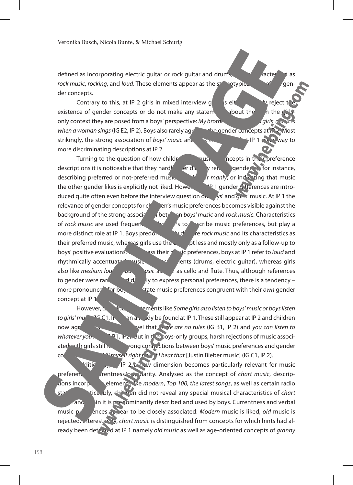defined as incorporating electric quitar or rock guitar and drums,  $\frac{1}{\sqrt{2\pi}}$  as *rock music, rocking, and <i>loud*. These elements appear as the stereotypical core of the gender concepts.

Contrary to this, at IP 2 girls in mixed interview groups eit there are the reject to existence of gender concepts or do not make any statements about the  $\alpha$  h the only context they are posed from a boys' perspective: *My brothers always the states' next* when a woman sings (IG E2, IP 2). Boys also rarely agree the gender concepts at IP strikingly, the strong association of *boys' music* and *remediately* IP 1 gives way to more discriminating descriptions at IP 2.

Turning to the question of how children use  $\frac{1}{2}$  incepts in the reference descriptions it is noticeable that they hardly even to refer to gender by for instance, describing preferred or not-preferred music as *girliging* or ind<sup>i</sup>x ting that music the other gender likes is explicitly not liked. However, and I gender differences are introduced quite often even before the interview question on boys' and gins' music. At IP 1 the relevance of gender concepts for  $c<sub>i</sub>$  en's music preferences becomes visible against the background of the strong association between *boys' music* and *rock music*. Characteristics of *rock music* are used frequently at the part of the music preferences, but play a more distinct role at IP 1. Boys predoming the *rock music* and its characteristics as their preferred music, whereas girls use the concept less and mostly only as a follow-up to boys' positive evaluations. The express their music preferences, boys at IP 1 refer to *loud* and rhythmically accentuated music and instruments (drums, electric guitar), whereas girls also like *medium loudy of astronomial* as cello and flute. Thus, although references to gender were rarely used directly to express personal preferences, there is a tendency – more pronounce for boy that music preferences congruent with their *own* gender concept at IP 1

However, **descriptive statements like Some girls also listen to boys' music or boys listen** *to girls' musical* (IGC1, IP 1) and all algebra at IP 1. These still appear at IP 2 and children now agree on a normative level that *There are no rules* (IG B1, IP 2) and *you can listen to whatever you like light*  $\mathbb{R}$  (IG B<sub>2)</sub>. But in the boys-only groups, harsh rejections of music associated with girls still reveal strong connections between boys' music preferences and gender concepts: *I could kill myself right now if I hear that* [Justin Bieber music] (IG C1, IP 2).

ditionally, all P 2 a new dimension becomes particularly relevant for music preferences: currentness/popularity. Analysed as the concept of *chart music*, descriptions incorporate elements like *modern*, *Top 100*, *the latest songs*, as well as certain radio stations. Notice, bly, children did not reveal any special musical characteristics of *chart* and and an it is predominantly described and used by boys. Currentness and verbal music preferences appear to be closely associated: *Modern* music is liked, *old* music is rejected. Interesticting, *chart music* is distinguished from concepts for which hints had already been detected at IP 1 namely *old music* as well as age-oriented concepts of *granny*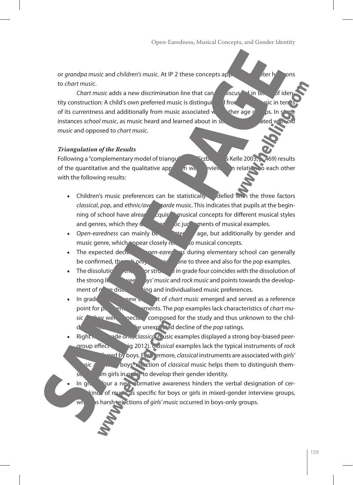or *grandpa music* and *children's music*. At IP 2 these concepts appear as content on the cons to *chart music*.

*Chart music* adds a new discrimination line that can **be discussed in terms of ide** tity construction: A child's own preferred music is distinguing the from other music in terms of its currentness and additionally from music associated with other age  $g = \rho s$ . In s instances *school music*, as music heard and learned about in school, is a lated with a late of with *old with a lated* with *old music*, as *music* and opposed to *chart music*.

#### *Triangulation of the Results*

Following a "complementary model of triangulation" (Erzb.  $\frac{1}{2}$  Kelle 2003, 2469) results of the quantitative and the qualitative approach were review in relation to each other with the following results:

- Children's music preferences can be statistically delled with the three factors *classical, pop, and ethnic/avant-garde music. This indicates that pupils at the begin*ning of school have already acquired musical concepts for different musical styles and genres, which they use the settle in a strike ments of musical examples.
- *Open-earedness* can mainly be the predicted by gender and music genre, which popear closely related to musical concepts.
- The expected decline of *open-eared* are during elementary school can generally be confirmed, the grades only for grades one to three and also for the *pop* examples.
- The dissolution of the factor structure in grade four coincides with the dissolution of the strong lik ween *bys' music* and *rock music* and points towards the development of  $n \rightarrow$  discrimination discrimination and individualised music preferences.
- In grade four, the new concept of *chart music* emerged and served as a reference point for preference statements. The *pop* examples lack characteristics of *chart mu*sic<sup>2</sup> hey were especially composed for the study and thus unknown to the chilre unexpected decline of the *pop* ratings.
- Right from grade one, *classical* music examples displayed a strong boy-biased peergroup effect (Schurig 2012). *Classical* examples lack the typical instruments of *rock* 
	- *must* by boys. Furthermore, *classical* instruments are associated with *girls' sic* and thous rejection of *classical* music helps them to distinguish them- $\sqrt{m}$  girls in order to develop their gender identity.
- In grade four a new normative awareness hinders the verbal designation of cer- $\frac{1}{2}$  of music as specific for boys or girls in mixed-gender interview groups, whereas harsh rejections of *girls' music* occurred in boys-only groups.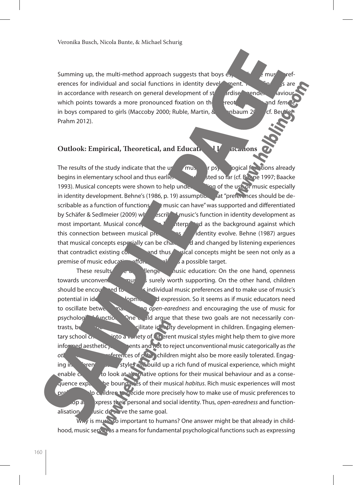Summing up, the multi-method approach suggests that boys especially use  $\frac{m}{2}$  music preferences for individual and social functions in identity development. These final same is are in accordance with research on general development of standardise gender behaviour, which points towards a more pronounced fixation on the street and female and *female* in boys compared to girls (Maccoby 2000; Ruble, Martin,  $\&$  halong 2006; cf. Beutler-Prahm 2012).

#### **Outlook: Empirical, Theoretical, and Educational Implications**

The results of the study indicate that the use of music results of the study indicate that the use of psychological functions already begins in elementary school and thus earlier than suggested so far (cf. Behne 1997; Baacke 1993). Musical concepts were shown to help under the use of the use of music especially in identity development. Behne's (1986, p. 19) assumption that "preferences should be describable as a function of functions that music can have" was supported and differentiated by Schäfer & Sedlmeier (2009) when escribed music's function in identity development as most important. Musical conceptual behind the interpreted as the background against which this connection between musical preferences and identity evolve. Behne (1987) argues that musical concepts especially can be changed and changed by listening experiences that contradict existing concepts and thus stical concepts might be seen not only as a premise of music education efforts, but also a possible target.

These results  $\epsilon$  a challenge nusic education: On the one hand, openness towards unconventional music is surely worth supporting. On the other hand, children should be encouraged to express individual music preferences and to make use of music's potential in identity development and expression. So it seems as if music educators need to oscillate between ma<sub>ind</sub> open-earedness and encouraging the use of music for psycholog<sup>3</sup> functions. One could argue that these two goals are not necessarily contrasts, but are both able to facilitate identity development in children. Engaging elementary school children into a variety of different musical styles might help them to give more informed aesthetic **judgements and not to reject unconventional music categorically as** *the* **other** music preferences of  $\alpha$ <sup>r</sup>. The children might also be more easily tolerated. Engaging in different musical experience, which might enable children to look at alternative options for their musical behaviour and as a consequence expand the boundaries of their musical *habitus*. Rich music experiences will most probably children to decide more precisely how to make use of music preferences to develop and express their personal and social identity. Thus, *open-earedness* and functionalisation  $\sim$  usic do serve the same goal.

Why is music so important to humans? One answer might be that already in childhood, music serves as a means for fundamental psychological functions such as expressing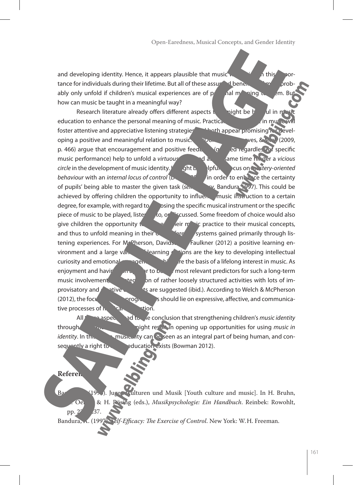and developing identity. Hence, it appears plausible that music will make  $\sim$  a this importance for individuals during their lifetime. But all of these assumed benefits with probably only unfold if children's musical experiences are of personal meaning to the m. But how can music be taught in a meaningful way?

Research literature already offers different aspects that might be helpful in must education to enhance the personal meaning of music. Practical engagement in music foster attentive and appreciative listening strategies and both appear promising in the eveloping a positive and meaningful relation to music. Mayor MacDonald, W. 2009,  $\frac{1}{2}$ p. 466) argue that encouragement and positive feed  $\log \frac{q}{r}$  equilibrary equations of specific music performance) help to unfold a *virtuous* contraction and at the same time hinder a *vicious circle* in the development of music identity. If  $\frac{1}{\pi}$  and  $\frac{1}{\pi}$  focus on  $\frac{1}{\pi}$  itery-oriented **behaviour** with an *internal locus of control* (December 2000) in order to enhance the certainty of pupils' being able to master the given task (sen efficiency, Bandura 1997). This could be achieved by offering children the opportunity to influence music instruction to a certain degree, for example, with regard to choosing the specific musical instrument or the specific piece of music to be played, listened to, or discussed. Some freedom of choice would also give children the opportunity to connect their musical concepts, and thus to unfold meaning in their  $\sim$  reference systems gained primarily through listening experiences. For  $M^{\circ}$ Pherson, Davidson, Faulkner (2012) a positive learning environment and a large vandely of learning  $\sim$  tions are the key to developing intellectual curiosity and emotional engagement, which are the basis of a lifelong interest in music. As enjoyment and having funce the most relevant predictors for such a long-term music involvement, the integration of rather loosely structured activities with lots of improvisatory and creative electric state suggested (ibid.). According to Welch & McPherson  $(2012)$ , the focus of music programmes should lie on expressive, affective, and communicative processes of  $\ln \frac{1}{2}$  interaction.

All these aspects lead to the conclusion that strengthening children's *music identity* through **the educational efforts might result in opening up opportunities for using** *music in* $\frac{1}{2}$ *identity*. In this sense, musicality can be seen as an integral part of being human, and consequently a right to music education exists (Bowman 2012).

#### **Referen**

Backe, D. (1993). Jugend wulturen und Musik [Youth culture and music]. In H. Bruhn, R. Oerter, & H. Rösing (eds.), *Musikpsychologie: Ein Handbuch*. Reinbek: Rowohlt, pp.  $2^{7}$   $2^{7}$ .

Bandura, A. (1997). *Self-Efficacy: The Exercise of Control*. New York: W.H. Freeman.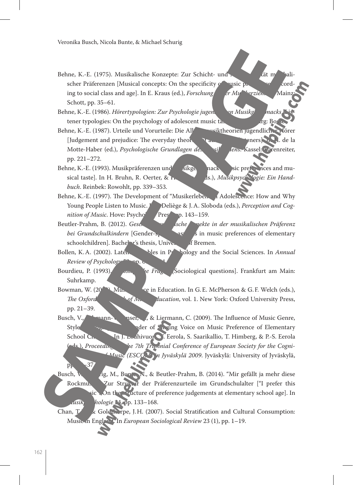- Behne, K.-E. (1975). Musikalische Konzepte: Zur Schicht- und Alterspezifität musikalischer Präferenzen [Musical concepts: On the specificity  $\alpha$  music preferences according to social class and age]. In E. Kraus (ed.), *Forschung in Mu<sup>nd-</sup>erzien.* Main: Schott, pp. 35–61.
- Behne, K.-E. (1986). *Hörertypologien: Zur Psychologie jugen* en Musikg macks,
- tener typologies: On the psychology of adolescent music taste and regensively fig. Bosse.<br>The R.F. (1987). Urteile und Vorurteile: Die Allebrandischer Transportion werden werden werden werden werden z Behne, K.-E. (1987). Urteile und Vorurteile: Die All [Judgement and prejudice: The everyday theories of and  $\epsilon$  and  $\epsilon$  are  $\epsilon$ ]. In H. de la Motte-Haber (ed.), *Psychologische Grundlagen des sil ens.* Kassel: Färenreiter, pp. 221–272.
- Behne, K.-E. (1993). Musikpräferenzen und  $\delta$ usikgeschack sie preferences and musical taste]. In H. Bruhn, R. Oerter, & H. Rösing (eds.), *Musikpsyc<sup>ho, T</sup>ogie: Ein Handbuch*. Reinbek: Rowohlt, pp. 339–353.
- Behne, K.-E. (1997). The Development of "Musikerleben" in Adolescence: How and Why Young People Listen to Music. *J* Deliège & J.A. Sloboda (eds.), *Perception and Cognition of Music*. Hove: Psychology Press, pp. 143–159.
- Beutler-Prahm, B. (2012). *Geschlechtsspezifische Asche Angekte in der musikalischen Präferenz bei Grundschulkindern* [Gender-specific aspects in music preferences of elementary schoolchildren]. Bachelor's thesis, University of Bremen.
- Bollen, K.A. (2002). Latent Variables in Psychology and the Social Sciences. In *Annual Review of Psychology*
- Bourdieu, P. (1993). *June*, <sup>*In Fragence is [Sociological questions]*. Frankfurt am Main:</sup> Suhrkamp.
- Bowman, W. (20<sup>12</sup>). Mus.  $\sim$  e in Education. In G.E. McPherson & G.F. Welch (eds.), *The Oxford* **Handbook of Music Education**, vol. 1. New York: Oxford University Press, pp. 21–39.
- Busch, V., **Lehmann-Wermser, A., & Liermann, C.** (2009). The Influence of Music Genre, Style Style of Singing Voice on Music Preference of Elementary School Children. In J. Louhivuor<sup>o</sup>, Eerola, S. Saarikallio, T. Himberg, & P.-S. Eerola ds.), *Proceeding le 7th Triennial Conference of European Society for the Cognitive Sciences of Music (ESCOM) in Jyväskylä 2009*. Jyväskylä: University of Jyväskylä,
- Busch, V., Sig, M., Bunte, N., & Beutler-Prahm, B. (2014). "Mir gefällt ja mehr diese Rockmus Zur Struktur der Präferenzurteile im Grundschulalter ["I prefer this sic": On the structure of preference judgements at elementary school age]. In *Msik*, *hologie* 24, pp. 133–168.
	- Chan,  $T \times$  Goldthorpe, J.H. (2007). Social Stratification and Cultural Consumption: Music in England. In *European Sociological Review* 23 (1), pp. 1–19.

 $p_{P}$  –37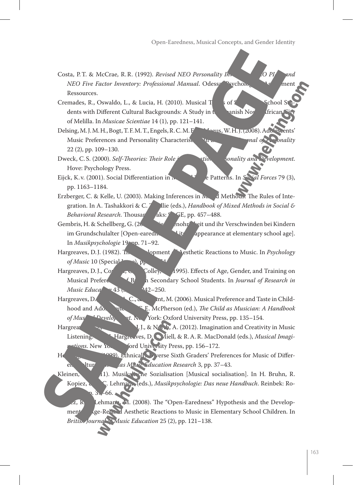- Costa, P.T. & McCrae, R.R. (1992). *Revised NEO Personality In NEO Five Factor Inventory: Professional Manual. Odessa:* Psychology Manual Assessment Ressources.
- Cremades, R., Oswaldo, L., & Lucia, H. (2010). Musical T<sub>aster</sub> of Secondary School St dents with Different Cultural Backgrounds: A Study in the Spanish North African of Melilla. In *Musicae Scientiae* 14 (1), pp. 121–141.
- Delsing, M.J.M.H., Bogt, T.F.M.T., Engels, R.C.M.F., Magnus, W.H.J. (2008). Adolescents' Music Preferences and Personality Characteristics. In *European Journal of Personality* 22 (2), pp. 109–130.
- Dweck, C.S. (2000). *Self-Theories: Their Role in Motion, Sonality and Pevelopment.* Hove: Psychology Press.
- Eijck, K. v. (2001). Social Differentiation in Musical Tasterns. In *S<sub>p.</sub> 71 Forces* 79 (3), pp. 1163–1184.
- Erzberger, C. & Kelle, U. (2003). Making Inferences in  $\mathbf{w}_1$ , d Methods: The Rules of Integration. In A. Tashakkori & C. 7 llie (eds.), *Handbook of Mixed Methods in Social & Behavioral Research*. Thousand Aks: S<sub>6</sub> SE, pp. 457–488.
- Gembris, H. & Schellberg, G. (2008). Liedern bei Kindern bei Kindern im Grundschulalter [Open-earedness and its disappearance at elementary school age]. In *Musikpsychologie* 19, pp. 71–92.
- Hargreaves, D.J. (1982). The Development **Nesthetic Reactions to Music.** In *Psychology*  $of Music 10$  (Special Issued),  $p_P$
- Hargreaves, D.J., Comber, Colley, A. (1995). Effects of Age, Gender, and Training on Musical Preferences of B<sub>ritish</sub> Secondary School Students. In *Journal of Research in Music Educa*<sup>4</sup> 43 (3), <sup>2</sup>42–250.
- Hargreaves, D.  $C_{n}$  and  $N$ . (2006). Musical Preference and Taste in Childhood and Adolescence. **In G.E. McPherson (ed.),** *The Child as Musician: A Handbook of Mus* Develop t. New York: Oxford University Press, pp. 135–154.
- Hargreaves,  $\Pi$ , J., & North, A. (2012). Imagination and Creativity in Music Listening. Hargreaves, D. Miell, & R.A.R. MacDonald (eds.), *Musical Imaginations*. New York: Oxford University Press, pp. 156–172.
- Henninger, J.C. (1999). Ethnicall, Diverse Sixth Graders' Preferences for Music of Different Cultures. *In las Music Education Research* 3, pp. 37–43.
- Kleinen, (1). Musikalisation [Musical socialisation]. In H. Bruhn, R. Kopiez, & A.C. Lehmann (eds.), *Musikpsychologie: Das neue Handbuch*. Reinbek: Ro- $3, -66.$ 
	- $\mathbb{Z}, \mathbb{R}$  Lehmann, M. (2008). The "Open-Earedness" Hypothesis and the Development of Age-Related Aesthetic Reactions to Music in Elementary School Children. In British Journal Music Education 25 (2), pp. 121-138.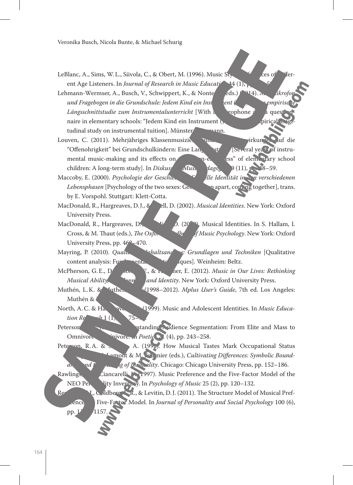- LeBlanc, A., Sims, W.L., Siivola, C., & Obert, M. (1996). Music Style Preferences of Preferent Age Listeners. In *Journal of Research in Music Educati*<sup>44</sup> (1),
- Lehmann-Wermser, A., Busch, V., Schwippert, K., & Nonte, eds.) (2014). *M. (ikrofon Krofon n und Fragebogen in die Grundschule: Jedem Kind ein Instrument (JeKi) – eine empirische Längsschnittstudie zum Instrumentalunterricht* [With a microphone and a questionnaire in elementary schools: "Jedem Kind ein Instrument ( $\lambda$ tudinal study on instrumental tuition]. Münster
- Louven, C. (2011). Mehrjähriges Klassenmusizieren und seine Auswirkungen auf die "Offenohrigkeit" bei Grundschulkindern: Eine Langeristudie [Several years] of instrumental music-making and its effects on the "open-earedness" of elementary school children: A long-term study]. In *Diskussing Musikagogia* 3(11), pp. 48–59.

Maccoby, E. (2000). *Psychologie der Geschiedenen in der Ille Identität in dem verschiedenen Lebensphasen* [Psychology of the two sexes: Growing up apart, coming together], trans. by E. Vorspohl. Stuttgart: Klett-Cotta.

- MacDonald, R., Hargreaves, D.J., & ell, D. (2002). *Musical Identities*. New York: Oxford University Press.
- MacDonald, R., Hargreaves, D.J.,  $\mathbf{G}$  (2009). Musical Identities. In S. Hallam, I. Cross, & M. Thaut (eds.), *The Oxford Handbook of Music Psychology*. New York: Oxford University Press, pp.  $46^{\circ}$  –470.
- Mayring, P. (2010). *Qualitative Inhaltsanalyse: Grundlagen und Techniken* [Qualitative content analysis:  $Fur$  rentals and techniques]. Weinheim: Beltz.

McPherson, G.E., D<sub>avid</sub>, J., W.L., Ler, E. (2012). *Music in Our Lives: Rethinking Musical Ability, Development and Identity.* New York: Oxford University Press.

- Muthén, L.K. & Muthén, **B.O. (1998–2012)**. *Mplus User's Guide*, 7th ed. Los Angeles: Muthén &
- North, A.C. & Ha. **(1999)**. Music and Adolescent Identities. In *Music Education Re*  $h_1$   $(1)$ , 75–

Peterson, R.A. (1992). Standing Audience Segmentation: From Elite and Mass to Omnivore <sup>and</sup> vivore. In *Poetic* 21 (4), pp. 243–258.

Peterson, R.A. &  $\sim$  A. (199 $\approx$ ). How Musical Tastes Mark Occupational Status **COROO FOURIE:** M. Cultivating Differences: Symbolic Bounda<sub>r</sub> and t<sub>he Ma</sub>g of *Inequality*. Chicago: Chicago University Press, pp. 152–186.

Rawlings, Ciancarelli, V. (1997). Music Preference and the Five-Factor Model of the NEO Personality Inventory. In *Psychology of Music* 25 (2), pp. 120–132.

 $R$ ential  $R$ ., Goldberg, R., & Levitin, D.J. (2011). The Structure Model of Musical Prefence Five-Factor Model. In *Journal of Personality and Social Psychology* 100 (6),

pp.  $1'$  1157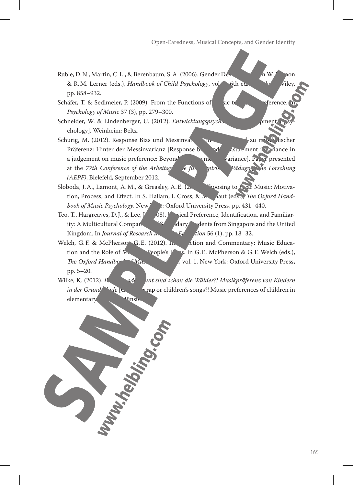- Ruble, D.N., Martin, C.L., & Berenbaum, S.A. (2006). Gender Development. In W. Damon & R.M. Lerner (eds.), *Handbook of Child Psychology*, vol. 5th ed. How Miley pp. 858–932.
- Schäfer, T. & Sedlmeier, P. (2009). From the Functions of Sic to Music Preference. *Psychology of Music* 37 (3), pp. 279–300.
- Schneider, W. & Lindenberger, U. (2012). *Entwicklungspsych*o chology]. Weinheim: Beltz.
- Schurig, M. (2012). Response Bias und Messinvarianz in einem Urteil zu musikalischer Präferenz: Hinter der Messinvarianz [Response bias and measurement invariance in a judgement on music preference: Beyond members in variance]. Paper presented at the *77th Conference of the Arbeitsgruppe für envirische Pädagogische Forschung (AEPF)*, Bielefeld, September 2012.
- Sloboda, J.A., Lamont, A.M., & Greasley, A.E. (2009). Choosing to Hear Music: Motivation, Process, and Effect. In S. Hallam, I. Cross, & N. Aaut (eds.), *The Oxford Handbook of Music Psychology*. New X: Oxford University Press, pp. 431–440.
- Teo, T., Hargreaves, D.J., & Lee,  $\vec{l}$  (2008). Musical Preference, Identification, and Familiarity: A Multicultural Comparing Students from Singapore and the United Kingdom. In *Journal of Research in* F<sub>c</sub> tion 56 (1), pp. 18–32.

Welch, G.F. & McPherson, G.E. (2012). In ction and Commentary: Music Education and the Role of  $M_{\text{L}}$  People's L<sub>ives</sub>. In G.E. McPherson & G.F. Welch (eds.), *The Oxford Handbork Music Educational Articles* of Music Education Contractional University Press, pp. 5–20.

Wilke, K. (2012). *Bushido oder Bunt sind schon die Wälder?! Musikpräferenz von Kindern in der Grundschule* [Gangster rap or children's songs?! Music preferences of children in elementary school dinste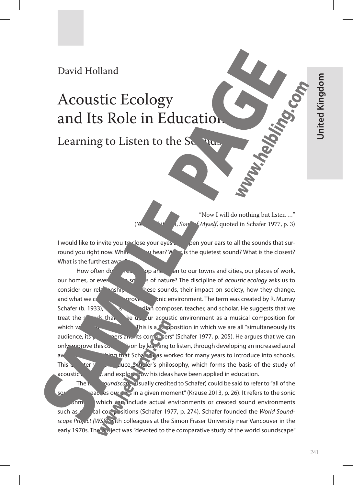### David Holland

### Acoustic Ecology and Its Role in Education

Learning to Listen to the  $S_{\alpha}$   $\overline{\mathbf{u}}$ 

"Now I will do nothing but listen …" *(Myself, quoted in Schafer 1977, p. 3)* 

I would like to invite you to close your eyes  $\mu$  open your ears to all the sounds that surround you right now. What can you hear? What is the quietest sound? What is the closest? What is the furthest away

How often  $d\sigma$  areally stop and list and our towns and cities, our places of work, our homes, or even to the sounds of nature? The discipline of *acoustic ecology* asks us to consider our relationship with these sounds, their impact on society, how they change, and what we can do to improve once on the term was created by R. Murray Schafer (b. 1933), which is a Canadian composer, teacher, and scholar. He suggests that we treat the sounds that the up our acoustic environment as a musical composition for which we are all "simultaneously its a composition in which we are all "simultaneously its audience, its performance of the series of series (Schafer 1977, p. 205). He argues that we can only improve this composition by learning to listen, through developing an increased aural aw are that Schareness has worked for many years to introduce into schools. This charge will intervent intervention intervention of the study of the study of acoustic  $\sqrt{a}$  and explore how his ideas have been applied in education.

The term *soundscape* (usually credited to Schafer) could be said to refer to "all of the sound that reaches our ears in a given moment" (Krause 2013, p. 26). It refers to the sonic onment which can include actual environments or created sound environments such as musical compositions (Schafer 1977, p. 274). Schafer founded the *World Soundscape Project (WSP)* with colleagues at the Simon Fraser University near Vancouver in the early 1970s. The project was "devoted to the comparative study of the world soundscape"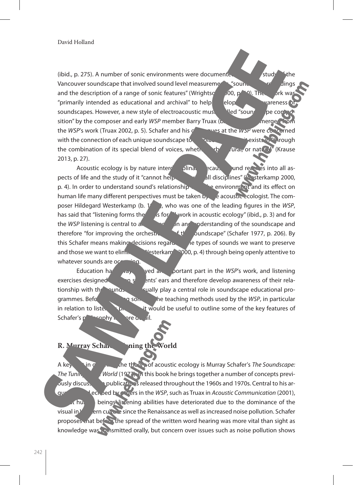(ibid., p. 275). A number of sonic environments were documented such as  $\sim$  study  $\sim$  the Vancouver soundscape that involved sound level measurements, "sounds" recordings and the description of a range of sonic features" (Wrightson 200, p. 10). The victor was and the description of a range of sonic features" (Wrightson 200, p. 10). The victor "primarily intended as educational and archival" to help  $q$  elop graduater awareness  $\phi$ soundscapes. However, a new style of electroacoustic music, a lead "sound solid pe composition" by the composer and early *WSP* member Barry Truax (b. 1947), also energed the *WSP*'s work (Truax 2002, p. 5). Schafer and his colleagues at the *WSP* were concerned with the connection of each unique soundscape to the place and time it exists in  $\mathcal{P}$  rough the combination of its special blend of voices, whether urban, or natural " (Krause 2013, p. 27).

Acoustic ecology is by nature interdisciplinary because into all aspects of life and the study of it "cannot help but to all disciplines" (Westerkamp 2000, p. 4). In order to understand sound's relationship with environment and its effect on human life many different perspectives must be taken by the acoustic ecologist. The composer Hildegard Westerkamp (b. 1446), who was one of the leading figures in the *WSP*, has said that "listening forms the basis for all work in acoustic ecology" (ibid., p. 3) and for the *WSP* listening is central to an approximation and understanding of the soundscape and therefore "for improving the orchestration of the soundscape" (Schafer 1977, p. 206). By this Schafer means making decisions regarding the types of sounds we want to preserve and those we want to eliming  $\frac{N}{2}$ sterkam<sup>2</sup> 2000, p. 4) through being openly attentive to whatever sounds are oc

Education has vay **blayed and portant part in the** *WSP***'s work, and listening** exercises designed to open students' ears and therefore develop awareness of their relationship with the sungs a sound scape usually play a central role in soundscape educational programmes. Before the some of the teaching methods used by the *WSP*, in particular in relation to liste, it would be useful to outline some of the key features of Schafer's philosophy in the contract of the Schafer's philosophy in the more detail.

#### **R. Murray Schakers: The Tuning the**

A key text in  $\sigma$  and the state in outlining text in outlining is Murray Schafer's *The Soundscape: The Tuning Vierda* (1977). In this book he brings together a number of concepts previously discussed in publications released throughout the 1960s and 1970s. Central to his argument and echoed by others in the *WSP*, such as Truax in *Acoustic Communication* (2001),  $\tau$  humal beings listening abilities have deteriorated due to the dominance of the visual in  $V$  ern culture since the Renaissance as well as increased noise pollution. Schafer proposes that before the spread of the written word hearing was more vital than sight as knowledge was kansmitted orally, but concern over issues such as noise pollution shows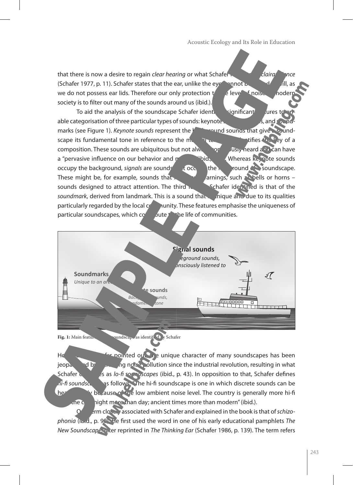that there is now a desire to regain *clear hearing* or what Schafer **reference** clairal ince (Schafer 1977, p. 11). Schafer states that the ear, unlike the eye, cannot be closed at will, as we do not possess ear lids. Therefore our only protection  $t \rightarrow e$  level of noise in modern society is to filter out many of the sounds around us (ibid.).

To aid the analysis of the soundscape Schafer identiting interact features to enable to enable to enable to enable categorisation of three particular types of sounds: keynote sounds, and soundmarks (see Figure 1). *Keynote sounds* represent the **background sounds that give a sound**scape its fundamental tone in reference to the musical term that interesting  $\mathbf{r}_{\text{rel}}$  term that is the key of a composition. These sounds are ubiquitous but not always or  $\sim$  0 Justy heard and can have a "pervasive influence on our behavior and  $\frac{1}{2}$  (ibid., a subset of whereas keynote sounds). occupy the background, *signals* are sounds to a sound the formulation of a sound consolidation of a sound scape. These might be, for example, sounds that  $\mathbb{R}$  arnings, such as bells or horns sounds designed to attract attention. The third  $\kappa$  Schafer identified is that of the *soundmark*, derived from landmark. This is a sound that indique and due to its qualities particularly regarded by the local  $c_0$  munity. These features emphasise the uniqueness of particular soundscapes, which  $\cos \theta$  bute the life of communities.



**Fig. 1:** Main features of the soundscape as identified by Schafer

However, as Schafer pointed out, the unique character of many soundscapes has been jeopard by  $\log_{10}$  increasing noise pollution since the industrial revolution, resulting in what Schafer describes as *lo-fi soundscapes* (ibid., p. 43). In opposition to that, Schafer defines *hi-fi soundscapes* as follows: "The hi-fi soundscape is one in which discrete sounds can be herally because of the low ambient noise level. The country is generally more hi-fi- $\ln 2$  hight more than day; ancient times more than modern" (ibid.).

erm closely associated with Schafer and explained in the book is that of *schizo***phonia** (ibid., p. 90). He first used the word in one of his early educational pamphlets *The New Soundscape*, are reprinted in *The Thinking Ear (Schafer 1986, p. 139)*. The term refers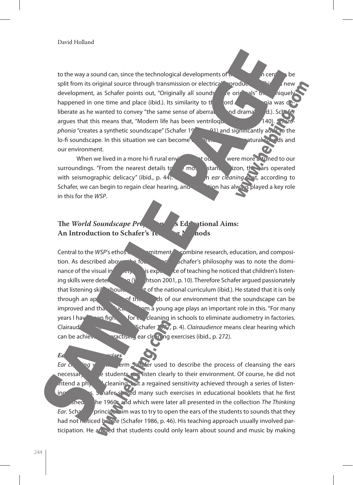to the way a sound can, since the technological developments of  $\mathbf{u}$ , the twentieth century, be split from its original source through transmission or electrical production. This is a new development, as Schafer points out, "Originally all sounds" were originals" that uniquely happened in one time and place (ibid.). Its similarity to the solution of the schial was deliberate as he wanted to convey "the same sense of aberration and drama" (d.). Scha argues that this means that, "Modern life has been ventrilogy, **140**). *phonia* "creates a synthetic soundscape" (Schafer 19<sub>77</sub>, p. 91) and significantly adds to the lo-fi soundscape. In this situation we can become disconnected from natural sounds and our environment.

When we lived in a more hi-fi rural env<sup>ot</sup> to the surface of the funed to our surroundings. "From the nearest details to the most distant higher distant horizon, the ars operated with seismographic delicacy" (ibid., p. 44). It is the ear cleaning that, according to Schafer, we can begin to regain clear hearing, and two tion has always played a key role in this for the *WSP*.

#### **The** *World Soundscape Pro***<sub>cess</sub> and Its Educational Aims:** An Introduction to Schafer's Teaching Methods

Central to the *WSP's* ethos is a commitment of combine research, education, and composition. As described above, the foundation of Schafer's philosophy was to note the dominance of the visual in sexperience of teaching he noticed that children's listening skills were deterioration of  $\mathbf{q}$  (Wrightson 2001, p. 10). Therefore Schafer argued passionately that listening skill should be the national curriculum (ibid.). He stated that it is only through an ap<sup> $\leftarrow$ </sup> of the  $\leftarrow$  ds of our environment that the soundscape can be improved and that education from a young age plays an important role in this. "For many years I have been fight  $\bigcirc$  for  $\epsilon$ , cleaning in schools to eliminate audiometry in factories. Clairaudience not earning which is early stated to ear means clear hearing which can be achieved by practism ear cleaning exercises (ibid., p. 272).

*Ear Cleaning Exercises Ear cleaning* y straight section of the term Schafer used to describe the process of cleansing the ears necessary before students can listen clearly to their environment. Of course, he did not  $\int$  intend a physical cleaning, but a regained sensitivity achieved through a series of listen- $\frac{1}{2}$  ing exercises. Supplying the many such exercises in educational booklets that he first published in the 1960s and which were later all presented in the collection *The Thinking Ear.* Schaferer's principal aim was to try to open the ears of the students to sounds that they had not noticed before (Schafer 1986, p. 46). His teaching approach usually involved participation. He argued that students could only learn about sound and music by making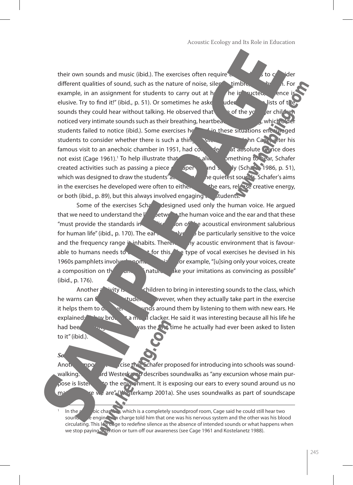their own sounds and music (ibid.). The exercises often require the students of the students to consider the students to consider the students to consider the students to consider the students to consider the students to different qualities of sound, such as the nature of noise, silent timbre example, in an assignment for students to carry out at  $h$  The instructed,  $\Box$  ence elusive. Try to find it!" (ibid., p. 51). Or sometimes he aske students to write lists of the sounds they could hear without talking. He observed that some of the younger child noticed very intimate sounds such as their breathing, heartbeat, and clothing, which  $\alpha$ students failed to notice (ibid.). Some exercises he used these situations encouraged students to consider whether there is such a thing  $S_{\text{max}}$  and the Cage, after his famous visit to an anechoic chamber in 1951, had concluded that absolute wence does not exist (Cage 1961).<sup>1</sup> To help illustrate that always omething to hear, Schafer created activities such as passing a piece  $\rho$  aper and silently (Schare 1986, p. 51), which was designed to draw the students' at the quietest sounds. Schafer's aims in the exercises he developed were often to either  $\epsilon$  the ears, release creative energy, or both (ibid., p. 89), but this always involved engaging  $\ldots$  students.

Some of the exercises Schanged designed used only the human voice. He argued that we need to understand the link between the human voice and the ear and that these "must provide the standards in  $\frac{1}{2}$  any of the acoustical environment salubrious for human life" (ibid., p. 170). The ear **the state of the particularly sensitive to the voice** and the frequency range in inhabits. Therefore any acoustic environment that is favourable to humans needs to  $\alpha$  count for this. The type of vocal exercises he devised in his 1960s pamphlets involved on on the second organization only your voices, create a composition on the sound state sounds of nature. Make your imitations as convincing as possible" (ibid., p. 176).

Another a wity is thildren to bring in interesting sounds to the class, which he warns can fluster the students. However, when they actually take part in the exercise it helps them to  $\alpha$ ,  $\alpha$  is the sound them by listening to them with new ears. He explained: "A brought a metal clacker. He said it was interesting because all his life he had been hearing it but this was the first time he actually had ever been asked to listen to it" (ibid.).

*Soundwalks* Another important intervention intervention introducing into schools was soundwalking. Higher Mesterkamp describes soundwalks as "any excursion whose main pur- $\alpha$  is listen ingles to the environment. It is exposing our ears to every sound around us no  $m<sup>2</sup>$  we we are " (Westerkamp 2001a). She uses soundwalks as part of soundscape

In the anti-oriental and anechoic chamber, which is a completely soundproof room, Cage said he could still hear two sound sounds. The engine in charge told him that one was his nervous system and the other was his blood circulating. This led Cage to redefine silence as the absence of intended sounds or what happens when we stop paying attention or turn off our awareness (see Cage 1961 and Kostelanetz 1988).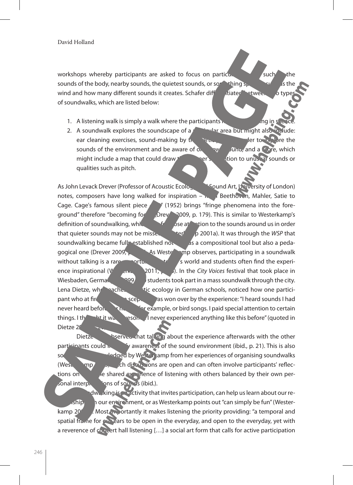workshops whereby participants are asked to focus on particular  $\sim$  such a the sounds of the body, nearby sounds, the quietest sounds, or something  $s_{k}$  and as the wind and how many different sounds it creates. Schafer differentiated between two types of soundwalks, which are listed below:

- 1. A listening walk is simply a walk where the participants  $\frac{1}{\sqrt{n}}$  in silence.
- 2. A soundwalk explores the soundscape of a particular area but might also include: ear cleaning exercises, sound-making by  $t_1 = \frac{1}{2} \int_0^t \frac{1}{t} \, dt$  order to  $\frac{1}{2} \int_0^t \frac{1}{t} \, dt$ sounds of the environment and be aware of  $\alpha$ , and sound a score, which might include a map that could draw the listener's attention to unusual sounds or qualities such as pitch.

As John Levack Drever (Professor of Acoustic Ecology and Sound Art, University of London) notes, composers have long walked for inspiration  $-\mathbf{r}$ , Beethoven, Mahler, Satie to Cage. Cage's famous silent piece **4**  $\gamma$  (1952) brings "fringe phenomena into the foreground" therefore "becoming focal" (Drever 2009, p. 179). This is similar to Westerkamp's definition of soundwalking, which called  $\epsilon$  calls for close attention to the sounds around us in order that quieter sounds may not be missed that exit of 2001a). It was through the *WSP* that soundwalking became fully established not dis a compositional tool but also a pedagogical one (Drever 2009, e.g., 1883). As Westerlamp observes, participating in a soundwalk without talking is a rare opportunity in the system of the experience inspirational (Westernamp 2011, p. 13). In the *City Voices* festival that took place in Wiesbaden, Germany  $\frac{1}{2}$  students took part in a mass soundwalk through the city. Lena Dietze, who haches active ecology in German schools, noticed how one participant who at fire the sceptical was won over by the experience: "I heard sounds I had never heard before, car noise in example, or bird songs. I paid special attention to certain things. I thought it was a resome. I never experienced anything like this before" (quoted in Dietze 20

Dietze also been that talk in a about the experience afterwards with the other participants could in the source intensify awareness of the sound environment (ibid., p. 21). This is also something acknowledged by Westerkamp from her experiences of organising soundwalks (Westerlamp  $\mu$ ,  $\alpha$  discussions are open and can often involve participants' reflections on both the shared experience of listening with others balanced by their own personal interpretations of sounds (ibid.).

dwe king is an activity that invites participation, can help us learn about our reiship in our environment, or as Westerkamp points out "can simply be fun" (Westerkamp 20<sup>o</sup> A Most importantly it makes listening the priority providing: "a temporal and spatial frame for  $\mathbb{C}$  rears to be open in the everyday, and open to the everyday, yet with a reverence of concert hall listening [...] a social art form that calls for active participation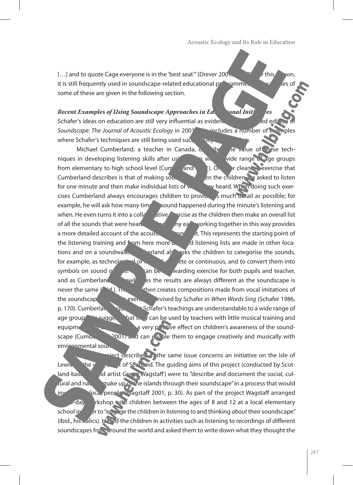[...] and to quote Cage everyone is in the 'best seat'" (Drever 2005, p. 1920). For this reason,  $\frac{1}{2}$ it is still frequently used in soundscape-related educational programmes and examples of some of these are given in the following section.

*Recent Examples of Using Soundscape Approaches in Ed.* Signal Initiatives Schafer's ideas on education are still very influential as evidence and the direction of the direction of the *Soundscape: The Journal of Acoustic Ecology* in 2001. This includes a number of examples where Schafer's techniques are still being used successfully

Michael Cumberland, a teacher in Canada,  $\alpha$  ib the value of these techniques in developing listening skills after using the with a wide range of age groups from elementary to high school level  $(Curf - a\overline{a}a)$ .  $\overline{a}$ .  $\overline{b}$  ar cleaning exercise that Cumberland describes is that of making sound list see the children are asked to listen for one minute and then make individual lists of when  $\mathbb{R}$  heard. When doing such exercises Cumberland always encourages children to provide as much detail as possible; for example, he will ask how many times a sound happened during the minute's listening and when. He even turns it into a collar ative exercise as the children then make an overall list of all the sounds that were heard. He argues working together in this way provides a more detailed account of the acoustic environment. This represents the starting point of the listening training and from here more  $d$  detailed listening lists are made in other locations and on a soundwalk. Combined also asks the children to categorise the sounds, for example, as technology and  $\frac{1}{2}$  or  $\frac{1}{2}$  dete or continuous, and to convert them into symbols on sound  $g'$  and  $g'$  rewarding exercise for both pupils and teacher, and as Cumberland and acknowledges the results are always different as the soundscape is never the same  $($  id.). The class then creates compositions made from vocal imitations of the soundscap<sup>c</sup> exercises devised by Schafer in *When Words Sing* (Schafer 1986, p. 170). Cumberland and Schafer's teachings are understandable to a wide range of age group suggests that the  $\sqrt{a}$  can be used by teachers with little musical training and equipment, but can still be a very positive effect on children's awareness of the soundscape (Cumberland 2001) and can enable them to engage creatively and musically with environmental soun

iect described in the same issue concerns an initiative on the Isle of Lewis  $\mathbb{R}^n$  on the west conducted by Scotland-based sound artist Gregg Wagstaff) were to "describe and document the social, cultural and natural make up on the islands through their soundscape" in a process that would involve local people (Wagstaff 2001, p. 30). As part of the project Wagstaff arranged -day right ratio with children between the ages of 8 and 12 at a local elementary school in order to "engage the children in listening *to* and thinking *about* their soundscape" (ibid., his ralics). He led the children in activities such as listening to recordings of different soundscapes from around the world and asked them to write down what they thought the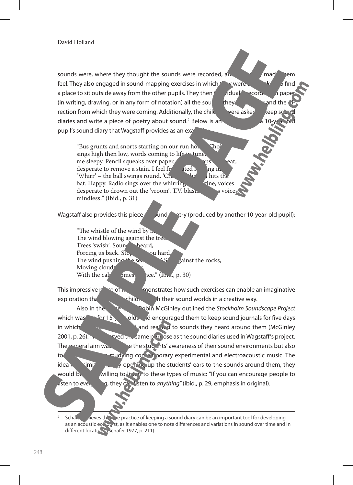sounds were, where they thought the sounds were recorded, and  $\Box$  made them feel. They also engaged in sound-mapping exercises in which they were each asked to find a place to sit outside away from the other pupils. They then  $\vec{i}$  and  $\vec{j}$  recorded on paper (in writing, drawing, or in any form of notation) all the sound they could hear and the rection from which they were coming. Additionally, the child were asked to keep sound to keep sound to keep sound to keep sound to keep sound to keep sound to keep sound to keep sound to keep sound to keep sound to keep s diaries and write a piece of poetry about sound.<sup>2</sup> Below is an except from a 10-year-old pupil's sound diary that Wagstaff provides as an exalged

"Bus grunts and snorts starting on our run home. Choir sings high then low, words coming to life in tune, me sleepy. Pencil squeaks over paper, **a** rubber over the speaks desperate to remove a stain. I feel fr desperate to remove a stain. I feel fr<sup>1</sup> ated hearing it.<br>Whirr' – the ball swings round 'Chang' heart hearth. 'Whirr' – the ball swings round. 'Crack' – the ball hits the bat. Happy, Radio sings over the whirring the value of the ball  $\frac{1}{2}$ bat. Happy. Radio sings over the whirring desperate to drown out the 'vroom'. T.V. blasts social values of the vector of the voice mindless." (Ibid., p. 31)

Wagstaff also provides this piece of sound poetry (produced by another 10-year-old pupil):

"The whistle of the wind by  $\mathbf{p}_i$ The wind blowing against the trees<br>Trees 'swish'. Sound heard, Trees 'swish'. Sound heard,<br>Forcing us back. Sto. The countries Forcing us back.  $Sto_p$  you hard, The wind pushing the sea  $\overline{S}$  – gainst the rocks, Moving clouds<br>With the caly  $\delta$ mes  $\alpha$ ce." (Ibid., p. 30)

This impressive  $p \to e$  of we constrates how such exercises can enable an imaginative exploration that engages children with their sound worlds in a creative way.

Also in the same issue, Robin McGinley outlined the *Stockholm Soundscape Project*  which was  $\frac{f_{\text{or}}}{g}$  for 15-year-olds and encouraged them to keep sound journals for five days in which the pupils in which the pupils in which the pupils in which the pupils in  $\mathbf{M}$  and reacted to sounds they heard around them (McGinley 2001, p. 26). These served the same purpose as the sound diaries used in Wagstaff's project. The general aim was the students' awareness of their sound environments but also to **offer a mature studying contemporary experimental and electroacoustic music. The**  $\frac{1}{2}$  idea was simply that by opening up the students' ears to the sounds around them, they would be movilling to lister to these types of music: "If you can encourage people to listen to *ever*  $q$ , they can listen to *anything*" (ibid., p. 29, emphasis in original).

Schare dieves that the practice of keeping a sound diary can be an important tool for developing as an acoustic ecologist, as it enables one to note differences and variations in sound over time and in different locations (Schafer 1977, p. 211).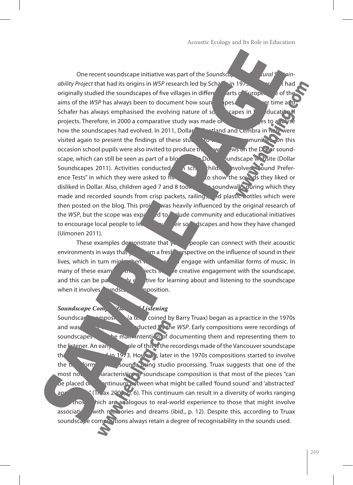One recent soundscape initiative was part of the *Soundsca*, *Cural Summer* **ability Project that had its origins in** *WSP* **research led by Schafer in 1975. The model of had** originally studied the soundscapes of five villages in different parts of Europe.  $\frac{1}{2}$  of the aims of the *WSP* has always been to document how sound speak change over time and Schafer has always emphasised the evolving nature of soundscapes in  $\ell$  ducational projects. Therefore, in 2000 a comparative study was made of the figures of the figures of  $\epsilon$  and how the soundscapes had evolved. In 2011, Dollar **in Statished and Cembra in Italy were** visited again to present the findings of these studies to the local communities. On this occasion school pupils were also invited to produce the  $\frac{1}{2}$  own views on the Dollar soundscape, which can still be seen as part of a blog on the Dollar Sundscape website (Dollar Soundscapes 2011). Activities conducted in school hild. Involved "Sound Preference Tests" in which they were asked to  $\frac{1}{2}$  for show the sounds they liked or disliked in Dollar. Also, children aged 7 and 8 took soundwalk, quring which they made and recorded sounds from crisp packets, railings, and plastic bottles which were then posted on the blog. This projection was heavily influenced by the original research of the *WSP*, but the scope was  $exp \ = \$ d to  $\blacksquare$  ude community and educational initiatives to encourage local people to learn about their soundscapes and how they have changed (Uimonen 2011).

These examples demonstrate that  $y_{\text{c}}$  people can connect with their acoustic environments in ways that  $\Box$  and a fresh perspective on the influence of sound in their lives, which in turn might then  $h_{\text{max}}$  then the engage with unfamiliar forms of music. In many of these examples the projects in the creative engagement with the soundscape, and this can be particularly effective for learning about and listening to the soundscape when it involves indscale composition.

#### *Soundscape Composition distening*

Soundscape composition (a term coined by Barry Truax) began as a practice in the 1970s and was part of the water of the water of the work compositions were recordings of soundscapes we main intention of documenting them and representing them to the listener. An early example of this is the recordings made of the Vancouver soundscape that we release 1 in 1973. However, later in the 1970s compositions started to involve the transformation of the sounds wing studio processing. Truax suggests that one of the most notable characteristics of soundscape composition is that most of the pieces "can be placed on a continuum between what might be called 'found sound' and 'abstracted' approaches " (Truax 2002, p. 6). This continuum can result in a diversity of works ranging  $f$ <sub>thos</sub> hich are analogous to real-world experience to those that might involve associati<sup>on</sup> with memories and dreams (ibid., p. 12). Despite this, according to Truax soundscape compositions always retain a degree of recognisability in the sounds used.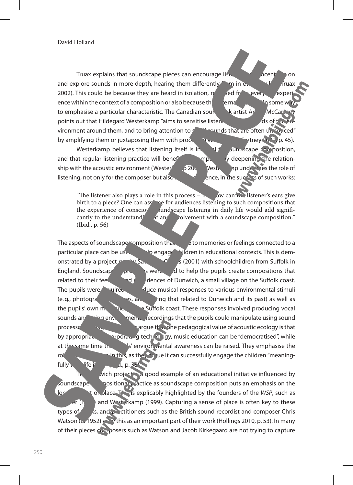Truax explains that soundscape pieces can encourage listeners to concentrate on and explore sounds in more depth, hearing them differently  $\Box$  m in every life (Truax 2002). This could be because they are heard in isolation,  $ref$  and from every experience within the context of a composition or also because the second in some way to emphasise a particular characteristic. The Canadian sound was artist Article McCar points out that Hildegard Westerkamp "aims to sensitise listeners of the sounds of the sounds of the sounds of the environment around them, and to bring attention to same mediator and are often unnoticed" by amplifying them or juxtaposing them with processed versions (McCartney 2002, p. 45).

Westerkamp believes that listening itself is integral to sound scape composition, and that regular listening practice will benefit the component of the relationship with the acoustic environment (Wester $\alpha$   $\beta$  20 $\alpha$  Westerkamp under the role of listening, not only for the composer but also for the succession the success of such works:

"The listener also plays a role in this process  $-\mathbf{r}$ , sw can the listener's ears give birth to a piece? One can assume for audiences listening to such compositions that the experience of conscious sumple is under the superficient of  $\frac{1}{2}$  bundscape listening in daily life would add signifithe experience of conscious sum also separate listening in daily life would add significantly to the understand  $\frac{1}{2}$  of an soundscape composition." rely of an understanding of and involvement with a soundscape composition." (Ibid., p. 56)

The aspects of soundscape composition that  $\epsilon$  is to memories or feelings connected to a particular place can be used to engage children in educational contexts. This is demonstrated by a project run by Savage  $\frac{1}{2}$  (2001) with schoolchildren from Suffolk in England. Soundscape  $\overline{\mathbf{g}}$  is were used to help the pupils create compositions that related to their feelings and  $\epsilon$  experiences of Dunwich, a small village on the Suffolk coast. The pupils were required to produce musical responses to various environmental stimuli (e.g., photographs) as and was, and writing that related to Dunwich and its past) as well as the pupils' own memories of Suffolk coast. These responses involved producing vocal sounds and using environmental recordings that the pupils could manipulate using sound processo and Challis argue that one pedagogical value of acoustic ecology is that by appropriately incorporating technology, music education can be "democratised", while at the same time the pullis' environmental awareness can be raised. They emphasise the role of composition in this, as the  $\epsilon$  argue it can successfully engage the children "meaningfully wife it  $\mu$  d., p. 38

wich project  $\mathbb{R}$  a good example of an educational initiative influenced by soundscape compositional practice as soundscape composition puts an emphasis on the local context or place. This explicably highlighted by the founders of the *WSP*, such as  $\mathsf{er}(\mathsf{I})$  and Westerkamp (1999). Capturing a sense of place is often key to these types of  $\alpha$ , and practitioners such as the British sound recordist and composer Chris Watson (b. 1952)  $y \rightarrow y$  this as an important part of their work (Hollings 2010, p. 53). In many of their pieces composers such as Watson and Jacob Kirkegaard are not trying to capture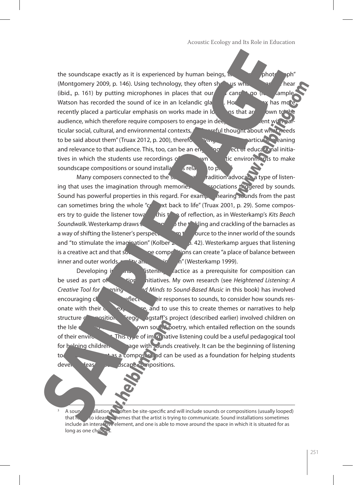the soundscape exactly as it is experienced by human beings,  $\ln \frac{1}{\epsilon}$   $\frac{\partial}{\partial \theta}$   $\frac{\partial}{\partial \theta}$ (Montgomery 2009, p. 146). Using technology, they often show us what we can cannot hear (ibid., p. 161) by putting microphones in places that our early cannot go ( $\mu$  ample Watson has recorded the sound of ice in an Icelandic glacier. However, Trust has mo recently placed a particular emphasis on works made in  $\mathbf{b}$  as that array by to the audience, which therefore require composers to engage in deeper the sent with partticular social, cultural, and environmental contexts, and careful thought about what needs to be said about them" (Truax 2012, p. 200), therefore giving the works particular matricular meaning and relevance to that audience. This, too, can be an engaging and reducational initiatives in which the students use recordings of the wn active environments to make soundscape compositions or sound installations is related to place.

Many composers connected to the sound of dividend advocate a type of listening that uses the imagination through memories and associations triggered by sounds. Sound has powerful properties in this regard. For example, hearing sounds from the past can sometimes bring the whole " $\sigma$ " xt back to life" (Truax 2001, p. 29). Some composers try to guide the listener towards this type of reflection, as in Westerkamp's *Kits Beach Soundwalk*. Westerkamp draws the listener of the time and crackling of the barnacles as a way of shifting the listener's perspective from the source to the inner world of the sounds and "to stimulate the imagination" (Kolber  $\lambda$ , p. 42). Westerkamp argues that listening is a creative act and that sound the compositions can create "a place of balance between inner and outer worlds,  $r_{\text{avg}}$  and  $\frac{r_{\text{avg}}}{r_{\text{avg}}}$  (Westerkamp 1999).

Developing in  $\frac{1}{2}$  listening practice as a prerequisite for composition can be used as part of **the educational initiatives.** My own research (see *Heightened Listening: A Creative Tool for Praticle* 2016 *Ad Minds to Sound-Based Music* in this book) has involved encouraging children to reflect on the responses to sounds, to consider how sounds resonate with their  $\alpha$  experience, and to use this to create themes or narratives to help structure compositions. Gregg agstaff's project (described earlier) involved children on the Isle of Lewis with the Isle of Lewis writing the Isle of Lewis writing the sounds own sounds the sounds of Lewis writing the sounds of Lewis and the sounds of Lewis and the sounds of Lewis and the sounds of Lewis and L of their environment. This type of imaginative listening could be a useful pedagogical tool for helping children age with sounds creatively. It can be the beginning of listening to the environment as a composer and can be used as a foundation for helping students developed **deas** *dscape compositions.* 

A sound allation will often be site-specific and will include sounds or compositions (usually looped) that relationship to ideas themes that the artist is trying to communicate. Sound installations sometimes include an interactive element, and one is able to move around the space in which it is situated for as long as one chooses.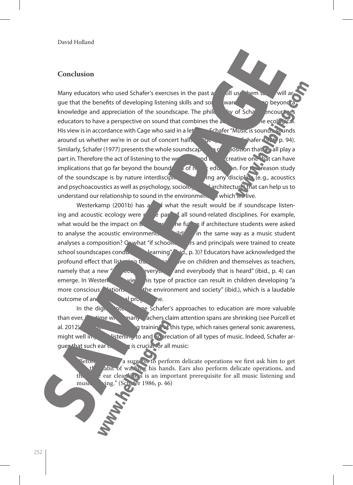#### **Conclusion**

Many educators who used Schafer's exercises in the past  $a^{\prime}$  and use them to gue that the benefits of developing listening skills and song ware a government and go beyond knowledge and appreciation of the soundscape. The philosophy of Scharage encourages educators to have a perspective on sound that combines the action of the ecological. His view is in accordance with Cage who said in a let **Schafer "Music is sounds, sounds** around us whether we're in or out of concert halls.  $\Box$  or Similarly, Schafer (1977) presents the whole soundscape and a constraint freall play a part in. Therefore the act of listening to the world around use that we creative one. That can have implications that go far beyond the bound of music educations from study of the soundscape is by nature interdiscipling  $\frac{1}{2}$  ing any discipline (e.g., acoustics and psychoacoustics as well as psychology, sociology, and architecture) that can help us to understand our relationship to sound in the environment in which we live.

Westerkamp (2001b) has  $\delta$  and what the result would be if soundscape listening and acoustic ecology were  $r \rightarrow e$  part of all sound-related disciplines. For example, what would be the impact on  $\mathbf{b}$  in the future if architecture students were asked to analyse the acoustic environments of building in the same way as a music student analyses a composition? Or what "if schoolteachers" and principals were trained to create school soundscapes conducive to learning" (id., p. 3)? Educators have acknowledged the profound effect that listening training the set on children and themselves as teachers, namely that a new  $\ell$  respect to everything and everybody that is heard" (ibid., p. 4) can emerge. In Westerkampt view this type of practice can result in children developing "a more conscious  $\mathbf{r}$  tions.  $\mathbf{r}$  the environment and society" (ibid.), which is a laudable outcome of an educational program

In the digital internet age Schafer's approaches to education are more valuable than ever,  $\frac{1}{2}$  time when many achers claim attention spans are shrinking (see Purcell et al. 2012). Additionally, and training of this type, which raises general sonic awareness, might well improve listening to and  $\infty$  reciation of all types of music. Indeed, Schafer argues that such ear  $c_n$  is crucial for all music:

 $Betow$  a surgeon to perform delicate operations we first ask him to get  $t'$  abit of washing his hands. Ears also perform delicate operations, and the sear cleanliness is an important prerequisite for all music listening and music  $\frac{d}{dx}$  (Scharlet 1986, p. 46)  $\mu$ ging." (Schafer 1986, p. 46)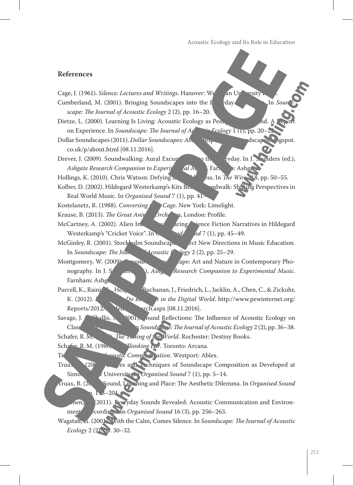#### **References**

Cage, J. (1961). *Silence: Lectures and Writings*. Hanover: Wesleyan University Cumberland, M. (2001). Bringing Soundscapes into the F<sub>veryday</sub> Classroom. In *So scape: The Journal of Acoustic Ecology* 2 (2), pp. 16–20. Dietze, L. (2000). Learning Is Living: Acoustic Ecology as Pedagogical Ground. A Report of  $\mathbf{A}$  Report of  $\mathbf{A}$  Report of  $\mathbf{A}$  Report of  $\mathbf{A}$  Report of  $\mathbf{A}$  Report of  $\mathbf{A}$  Report of  $\mathbf{A}$  Report on Experience. In *Soundscape: The Journal of Actual Ecology* 1 (1), pp. 20 Dollar Soundscapes (2011). *Dollar Soundscapes: Ab* http://dollarsoundscapes. Despot. co.uk/p/about.html [08.11.2016]. Drever, J. (2009). Soundwalking: Aural Excursions into the Every into the Everyday. In J. S. Inders (ed.), *Ashgate Research Companion to Experimental Musical Musical Musical Musical Musical Musical Musical Musical Musical Musical Musical Musical Musical Musical Musical Musical Musical Musical Musical Musical Musical Musical Mu* Hollings, K. (2010). Chris Watson: Defying the Wilderness. In *The Wire* 318, pp. 50–55. Kolber, D. (2002). Hildegard Westerkamp's Kits Beaulth Soundwalk: Shifting Perspectives in Real World Music. In *Organised Sound* 7 (1), pp. 41-Kostelanetz, R. (1988). *Conversing Cage*. New York: Limelight. Krause, B. (2013). *The Great Animal Orchestra*, London: Profile. McCartney, A. (2002). Alien Internatives: Arring Science Fiction Narratives in Hildegard Westerkamp's "Cricket Voice". In **Organised Soundary 2** *nd* 7 (1), pp. 45–49. McGinley, R. (2001). Stockholm Soundscape Project New Directions in Music Education. In *Soundscape: The Journal of Acoustic I<sup>n</sup> Jogy* 2 (2), pp. 25–29. Montgomery, W. (2009). Begins the Soundscape: Art and Nature in Contemporary Phonography. In J. S<sub>aunders</sub> (ed.), *Ashgaterrigh Companion to Experimental Music*. Farnham: Ashg. Purcell, K., Rainie, Heaps, A., Buchanan, J., Friedrich, L., Jacklin, A., Chen, C., & Zickuhr, K. (2012). *I*  $\overline{h}$  in the Digital World. http://www.pewinternet.org/  $Reports/2012$   $Pe<sub>ln</sub>$   $vch.aspx$   $[08.11.2016]$ . Savage, J. (2001).  $\alpha$  and Reflections: The Influence of Acoustic Ecology on Class<sup>o</sup>m Counds<sup>c</sup>ape: The Journal of Acoustic Ecology 2 (2), pp. 36–38. Schafer, R.M. *The Tuning of the World*. Rochester: Destiny Books. Schafer, R.M. (1986). *Thinking Ear*. Toronto: Arcana. Trustic Communication. Westport: Ablex. Truax,  $\big(20^7\big)$  es and Techniques of Soundscape Composition as Developed at Simon fracer University. *Organised Sound* 7 (1), pp. 5–14. Truax, B. (2012). Sound, Listening and Place: The Aesthetic Dilemma. In *Organised Sound*  $-20<sub>1</sub>$ nen, (2011). Everyday Sounds Revealed: Acoustic Communication and Environment cordings. In *Organised Sound* 16 (3), pp. 256–263.

Wagstaff, G. (2001). With the Calm, Comes Silence. In *Soundscape: The Journal of Acoustic Ecology* 2 (2), pp. 30–32.